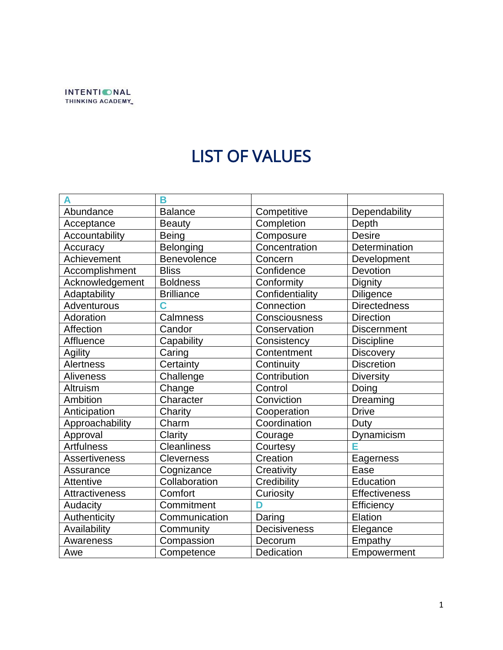

## LIST OF VALUES

|                      | B                  |                 |                      |
|----------------------|--------------------|-----------------|----------------------|
| Abundance            | <b>Balance</b>     | Competitive     | Dependability        |
| Acceptance           | <b>Beauty</b>      | Completion      | Depth                |
| Accountability       | <b>Being</b>       | Composure       | <b>Desire</b>        |
| Accuracy             | Belonging          | Concentration   | Determination        |
| Achievement          | Benevolence        | Concern         | Development          |
| Accomplishment       | <b>Bliss</b>       | Confidence      | Devotion             |
| Acknowledgement      | <b>Boldness</b>    | Conformity      | Dignity              |
| Adaptability         | <b>Brilliance</b>  | Confidentiality | <b>Diligence</b>     |
| Adventurous          | Ć                  | Connection      | <b>Directedness</b>  |
| Adoration            | Calmness           | Consciousness   | <b>Direction</b>     |
| Affection            | Candor             | Conservation    | <b>Discernment</b>   |
| Affluence            | Capability         | Consistency     | <b>Discipline</b>    |
| Agility              | Caring             | Contentment     | <b>Discovery</b>     |
| <b>Alertness</b>     | Certainty          | Continuity      | <b>Discretion</b>    |
| <b>Aliveness</b>     | Challenge          | Contribution    | <b>Diversity</b>     |
| Altruism             | Change             | Control         | Doing                |
| Ambition             | Character          | Conviction      | Dreaming             |
| Anticipation         | Charity            | Cooperation     | <b>Drive</b>         |
| Approachability      | Charm              | Coordination    | Duty                 |
| Approval             | Clarity            | Courage         | Dynamicism           |
| <b>Artfulness</b>    | <b>Cleanliness</b> | Courtesy        | E                    |
| <b>Assertiveness</b> | <b>Cleverness</b>  | Creation        | Eagerness            |
| Assurance            | Cognizance         | Creativity      | Ease                 |
| <b>Attentive</b>     | Collaboration      | Credibility     | Education            |
| Attractiveness       | Comfort            | Curiosity       | <b>Effectiveness</b> |
| Audacity             | Commitment         | D               | Efficiency           |
| Authenticity         | Communication      | Daring          | Elation              |
| Availability         | Community          | Decisiveness    | Elegance             |
| Awareness            | Compassion         | Decorum         | Empathy              |
| Awe                  | Competence         | Dedication      | Empowerment          |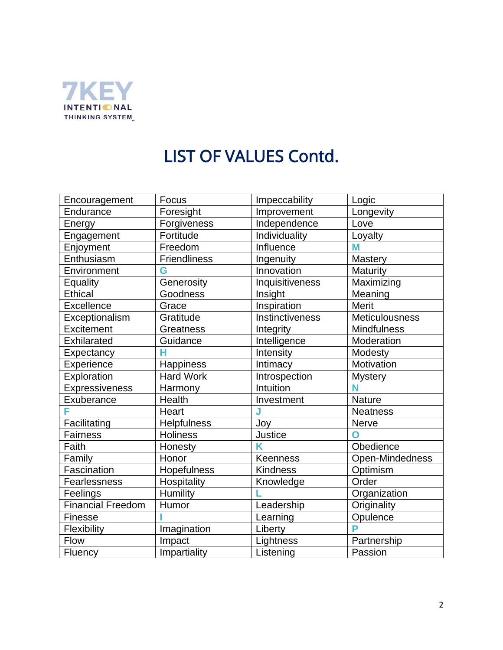

## LIST OF VALUES Contd.

| Encouragement            | Focus            | Impeccability      | Logic                 |
|--------------------------|------------------|--------------------|-----------------------|
| Endurance                | Foresight        | Improvement        | Longevity             |
| Energy                   | Forgiveness      | Independence       | Love                  |
| Engagement               | Fortitude        | Individuality      | Loyalty               |
| Enjoyment                | Freedom          | Influence          | M                     |
| Enthusiasm               | Friendliness     | Ingenuity          | Mastery               |
| Environment              | G                | Innovation         | Maturity              |
| Equality                 | Generosity       | Inquisitiveness    | Maximizing            |
| <b>Ethical</b>           | Goodness         | Insight            | Meaning               |
| Excellence               | Grace            | <b>Inspiration</b> | <b>Merit</b>          |
| Exceptionalism           | Gratitude        | Instinctiveness    | <b>Meticulousness</b> |
| Excitement               | <b>Greatness</b> | Integrity          | <b>Mindfulness</b>    |
| Exhilarated              | Guidance         | Intelligence       | Moderation            |
| Expectancy               | Ĥ                | Intensity          | Modesty               |
| Experience               | Happiness        | Intimacy           | Motivation            |
| Exploration              | <b>Hard Work</b> | Introspection      | <b>Mystery</b>        |
| Expressiveness           | Harmony          | Intuition          | N                     |
| Exuberance               | Health           | Investment         | Nature                |
| F                        | Heart            | J                  | <b>Neatness</b>       |
| Facilitating             | Helpfulness      | Joy                | Nerve                 |
| Fairness                 | <b>Holiness</b>  | <b>Justice</b>     | Ω                     |
| Faith                    | Honesty          | K                  | Obedience             |
| Family                   | Honor            | <b>Keenness</b>    | Open-Mindedness       |
| Fascination              | Hopefulness      | <b>Kindness</b>    | Optimism              |
| Fearlessness             | Hospitality      | Knowledge          | Order                 |
| Feelings                 | Humility         |                    | Organization          |
| <b>Financial Freedom</b> | Humor            | Leadership         | Originality           |
| Finesse                  |                  | Learning           | Opulence              |
| Flexibility              | Imagination      | Liberty            | P                     |
| Flow                     | Impact           | Lightness          | Partnership           |
| Fluency                  | Impartiality     | Listening          | Passion               |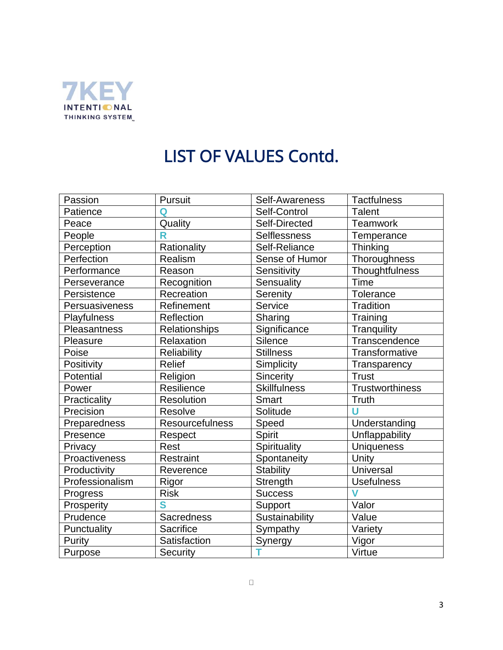

## LIST OF VALUES Contd.

| Passion         | Pursuit              | Self-Awareness      | <b>Tactfulness</b> |
|-----------------|----------------------|---------------------|--------------------|
| Patience        | Q                    | Self-Control        | <b>Talent</b>      |
| Peace           | Quality              | Self-Directed       | Teamwork           |
| People          | R                    | Selflessness        | Temperance         |
| Perception      | Rationality          | Self-Reliance       | Thinking           |
| Perfection      | Realism              | Sense of Humor      | Thoroughness       |
| Performance     | Reason               | Sensitivity         | Thoughtfulness     |
| Perseverance    | Recognition          | Sensuality          | <b>Time</b>        |
| Persistence     | Recreation           | Serenity            | <b>Tolerance</b>   |
| Persuasiveness  | Refinement           | Service             | <b>Tradition</b>   |
| Playfulness     | Reflection           | Sharing             | Training           |
| Pleasantness    | <b>Relationships</b> | Significance        | Tranquility        |
| Pleasure        | Relaxation           | <b>Silence</b>      | Transcendence      |
| Poise           | <b>Reliability</b>   | <b>Stillness</b>    | Transformative     |
| Positivity      | <b>Relief</b>        | Simplicity          | Transparency       |
| Potential       | Religion             | Sincerity           | <b>Trust</b>       |
| Power           | Resilience           | <b>Skillfulness</b> | Trustworthiness    |
| Practicality    | Resolution           | <b>Smart</b>        | Truth              |
| Precision       | Resolve              | Solitude            | Ù                  |
| Preparedness    | Resourcefulness      | Speed               | Understanding      |
| Presence        | Respect              | Spirit              | Unflappability     |
| Privacy         | Rest                 | Spirituality        | <b>Uniqueness</b>  |
| Proactiveness   | <b>Restraint</b>     | Spontaneity         | Unity              |
| Productivity    | Reverence            | <b>Stability</b>    | Universal          |
| Professionalism | Rigor                | Strength            | <b>Usefulness</b>  |
| Progress        | <b>Risk</b>          | <b>Success</b>      | V                  |
| Prosperity      | S                    | Support             | Valor              |
| Prudence        | <b>Sacredness</b>    | Sustainability      | Value              |
| Punctuality     | Sacrifice            | Sympathy            | Variety            |
| Purity          | Satisfaction         | Synergy             | Vigor              |
| Purpose         | Security             |                     | Virtue             |